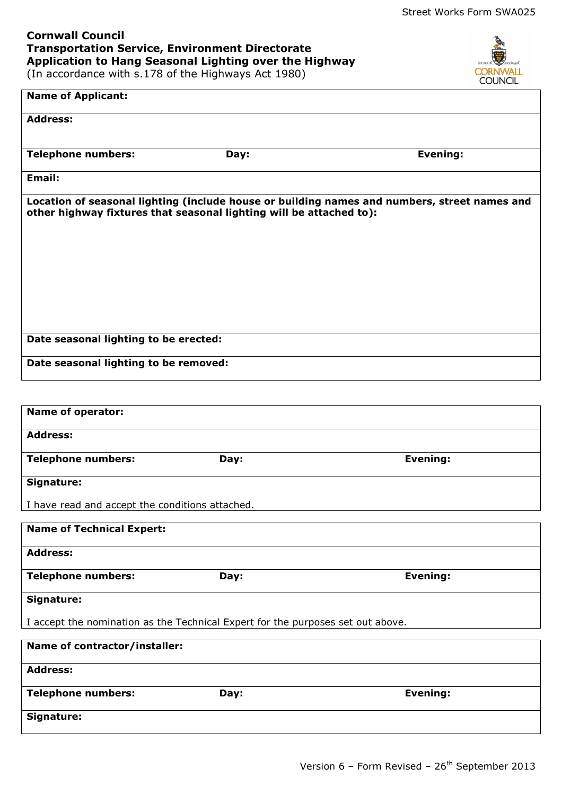# **Cornwall Council Transportation Service, Environment Directorate Application to Hang Seasonal Lighting over the Highway**

(In accordance with s.178 of the Highways Act 1980)



| <b>Name of Applicant:</b>                                           |      |                                                                                              |
|---------------------------------------------------------------------|------|----------------------------------------------------------------------------------------------|
| <b>Address:</b>                                                     |      |                                                                                              |
| <b>Telephone numbers:</b>                                           |      | <b>Evening:</b>                                                                              |
|                                                                     | Day: |                                                                                              |
| Email:                                                              |      |                                                                                              |
| other highway fixtures that seasonal lighting will be attached to): |      | Location of seasonal lighting (include house or building names and numbers, street names and |
|                                                                     |      |                                                                                              |
| Date seasonal lighting to be erected:                               |      |                                                                                              |
| Date seasonal lighting to be removed:                               |      |                                                                                              |
|                                                                     |      |                                                                                              |
| <b>Name of operator:</b>                                            |      |                                                                                              |
| <b>Address:</b>                                                     |      |                                                                                              |
| <b>Telephone numbers:</b>                                           | Day: | <b>Evening:</b>                                                                              |
| Signature:                                                          |      |                                                                                              |
| I have read and accept the conditions attached.                     |      |                                                                                              |
| <b>Name of Technical Expert:</b>                                    |      |                                                                                              |
| <b>Address:</b>                                                     |      |                                                                                              |
|                                                                     |      |                                                                                              |
| <b>Telephone numbers:</b>                                           | Day: | <b>Evening:</b>                                                                              |
| Signature:                                                          |      |                                                                                              |

I accept the nomination as the Technical Expert for the purposes set out above.

| Name of contractor/installer: |      |          |
|-------------------------------|------|----------|
| <b>Address:</b>               |      |          |
| <b>Telephone numbers:</b>     | Day: | Evening: |
| Signature:                    |      |          |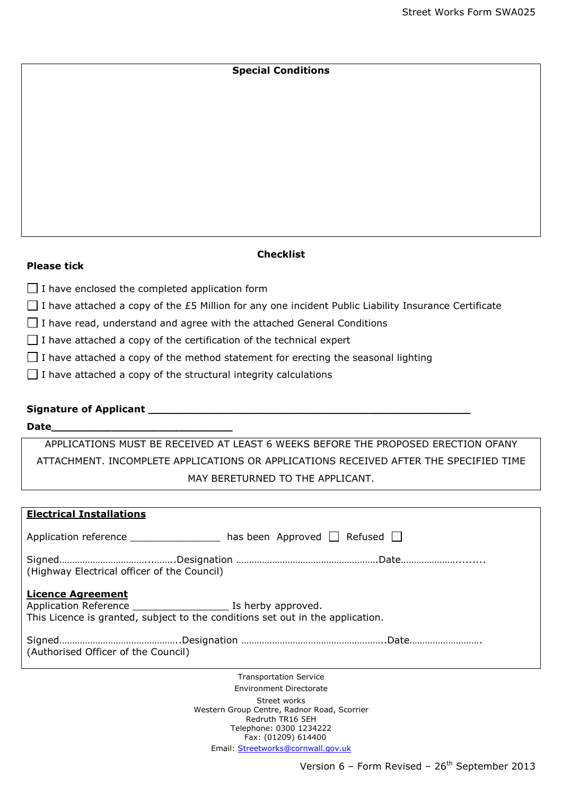# **Special Conditions**

#### **Please tick**

# **Checklist**

- $\Box$  I have enclosed the completed application form
- $\Box$  I have attached a copy of the £5 Million for any one incident Public Liability Insurance Certificate
- $\Box$  I have read, understand and agree with the attached General Conditions
- $\Box$  I have attached a copy of the certification of the technical expert
- $\Box$  I have attached a copy of the method statement for erecting the seasonal lighting
- $\Box$  I have attached a copy of the structural integrity calculations

# **Signature of Applicant \_\_\_\_\_\_\_\_\_\_\_\_\_\_\_\_\_\_\_\_\_\_\_\_\_\_\_\_\_\_\_\_\_\_\_\_\_\_\_\_\_\_\_\_\_\_\_\_**

#### **Date\_\_\_\_\_\_\_\_\_\_\_\_\_\_\_\_\_\_\_\_\_\_\_\_\_\_\_**

APPLICATIONS MUST BE RECEIVED AT LEAST 6 WEEKS BEFORE THE PROPOSED ERECTION OFANY ATTACHMENT. INCOMPLETE APPLICATIONS OR APPLICATIONS RECEIVED AFTER THE SPECIFIED TIME MAY BERETURNED TO THE APPLICANT.

| <b>Electrical Installations</b>                                                |  |  |  |
|--------------------------------------------------------------------------------|--|--|--|
|                                                                                |  |  |  |
| has been Approved $\Box$ Refused $\Box$<br>Application reference               |  |  |  |
|                                                                                |  |  |  |
|                                                                                |  |  |  |
|                                                                                |  |  |  |
| (Highway Electrical officer of the Council)                                    |  |  |  |
|                                                                                |  |  |  |
| <b>Licence Agreement</b>                                                       |  |  |  |
|                                                                                |  |  |  |
| This Licence is granted, subject to the conditions set out in the application. |  |  |  |
|                                                                                |  |  |  |
|                                                                                |  |  |  |
| (Authorised Officer of the Council)                                            |  |  |  |
|                                                                                |  |  |  |
|                                                                                |  |  |  |
| <b>Transportation Service</b>                                                  |  |  |  |

Environment Directorate Street works Western Group Centre, Radnor Road, Scorrier Redruth TR16 5EH Telephone: 0300 1234222 Fax: (01209) 614400 Email: Streetworks@cornwall.gov.uk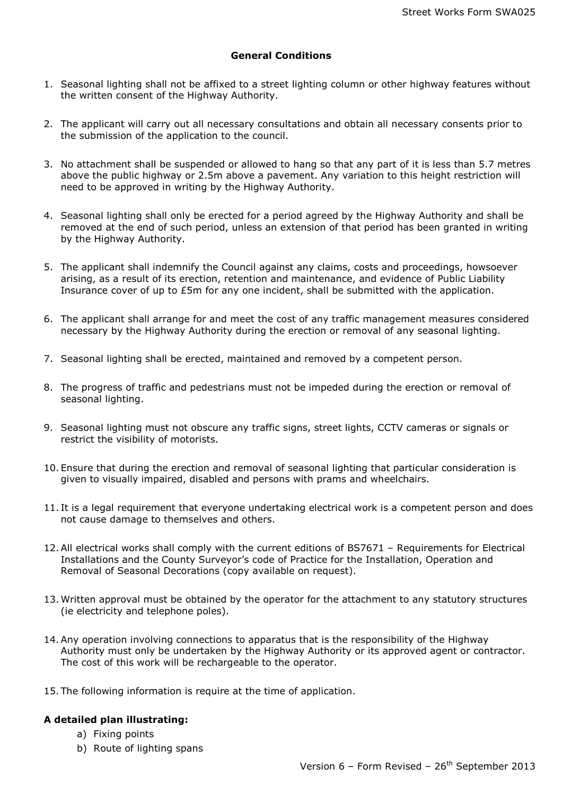# **General Conditions**

- 1. Seasonal lighting shall not be affixed to a street lighting column or other highway features without the written consent of the Highway Authority.
- 2. The applicant will carry out all necessary consultations and obtain all necessary consents prior to the submission of the application to the council.
- 3. No attachment shall be suspended or allowed to hang so that any part of it is less than 5.7 metres above the public highway or 2.5m above a pavement. Any variation to this height restriction will need to be approved in writing by the Highway Authority.
- 4. Seasonal lighting shall only be erected for a period agreed by the Highway Authority and shall be removed at the end of such period, unless an extension of that period has been granted in writing by the Highway Authority.
- 5. The applicant shall indemnify the Council against any claims, costs and proceedings, howsoever arising, as a result of its erection, retention and maintenance, and evidence of Public Liability Insurance cover of up to £5m for any one incident, shall be submitted with the application.
- 6. The applicant shall arrange for and meet the cost of any traffic management measures considered necessary by the Highway Authority during the erection or removal of any seasonal lighting.
- 7. Seasonal lighting shall be erected, maintained and removed by a competent person.
- 8. The progress of traffic and pedestrians must not be impeded during the erection or removal of seasonal lighting.
- 9. Seasonal lighting must not obscure any traffic signs, street lights, CCTV cameras or signals or restrict the visibility of motorists.
- 10. Ensure that during the erection and removal of seasonal lighting that particular consideration is given to visually impaired, disabled and persons with prams and wheelchairs.
- 11. It is a legal requirement that everyone undertaking electrical work is a competent person and does not cause damage to themselves and others.
- 12.All electrical works shall comply with the current editions of BS7671 Requirements for Electrical Installations and the County Surveyor's code of Practice for the Installation, Operation and Removal of Seasonal Decorations (copy available on request).
- 13. Written approval must be obtained by the operator for the attachment to any statutory structures (ie electricity and telephone poles).
- 14.Any operation involving connections to apparatus that is the responsibility of the Highway Authority must only be undertaken by the Highway Authority or its approved agent or contractor. The cost of this work will be rechargeable to the operator.
- 15. The following information is require at the time of application.

# **A detailed plan illustrating:**

- a) Fixing points
- b) Route of lighting spans